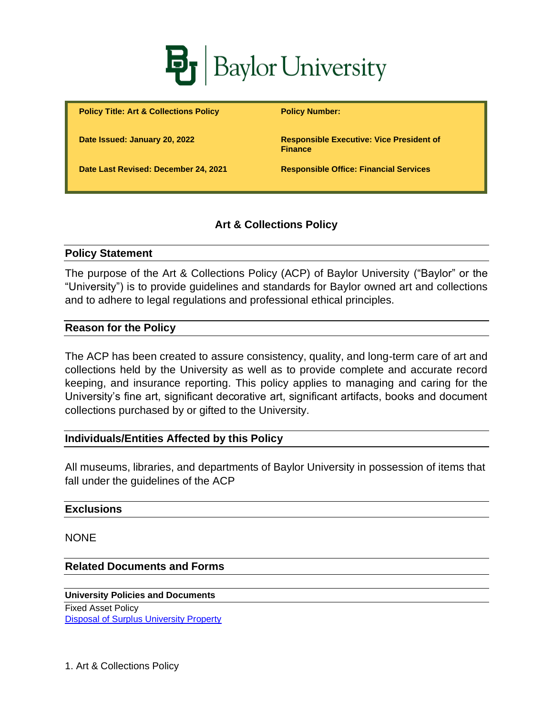

**Policy Title: Art & Collections Policy Policy Number:** 

**Date Issued: January 20, 2022 Responsible Executive: Vice President of Finance**

**Date Last Revised: December 24, 2021 Responsible Office: Financial Services**

## **Art & Collections Policy**

#### **Policy Statement**

The purpose of the Art & Collections Policy (ACP) of Baylor University ("Baylor" or the "University") is to provide guidelines and standards for Baylor owned art and collections and to adhere to legal regulations and professional ethical principles.

#### **Reason for the Policy**

The ACP has been created to assure consistency, quality, and long-term care of art and collections held by the University as well as to provide complete and accurate record keeping, and insurance reporting. This policy applies to managing and caring for the University's fine art, significant decorative art, significant artifacts, books and document collections purchased by or gifted to the University.

## **Individuals/Entities Affected by this Policy**

All museums, libraries, and departments of Baylor University in possession of items that fall under the guidelines of the ACP

#### **Exclusions**

NONE

#### **Related Documents and Forms**

**University Policies and Documents** Fixed Asset Policy [Disposal of Surplus University Property](https://www.baylor.edu/content/services/document.php/145836.pdf)

1. Art & Collections Policy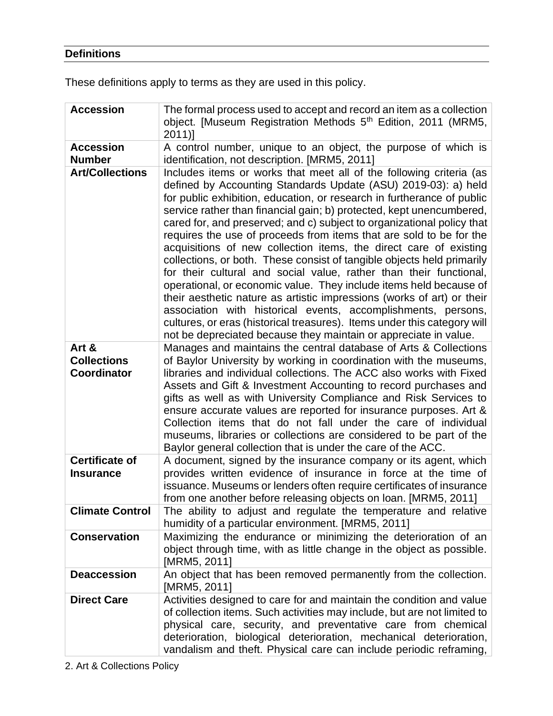# **Definitions**

These definitions apply to terms as they are used in this policy.

| <b>Accession</b>                                  | The formal process used to accept and record an item as a collection<br>object. [Museum Registration Methods 5 <sup>th</sup> Edition, 2011 (MRM5,<br>$2011$ ]                                                                                                                                                                                                                                                                                                                                                                                                                                                                                                                                                                                                                                                                                                                                                                                                                                                                  |
|---------------------------------------------------|--------------------------------------------------------------------------------------------------------------------------------------------------------------------------------------------------------------------------------------------------------------------------------------------------------------------------------------------------------------------------------------------------------------------------------------------------------------------------------------------------------------------------------------------------------------------------------------------------------------------------------------------------------------------------------------------------------------------------------------------------------------------------------------------------------------------------------------------------------------------------------------------------------------------------------------------------------------------------------------------------------------------------------|
| <b>Accession</b><br><b>Number</b>                 | A control number, unique to an object, the purpose of which is<br>identification, not description. [MRM5, 2011]                                                                                                                                                                                                                                                                                                                                                                                                                                                                                                                                                                                                                                                                                                                                                                                                                                                                                                                |
| <b>Art/Collections</b>                            | Includes items or works that meet all of the following criteria (as<br>defined by Accounting Standards Update (ASU) 2019-03): a) held<br>for public exhibition, education, or research in furtherance of public<br>service rather than financial gain; b) protected, kept unencumbered,<br>cared for, and preserved; and c) subject to organizational policy that<br>requires the use of proceeds from items that are sold to be for the<br>acquisitions of new collection items, the direct care of existing<br>collections, or both. These consist of tangible objects held primarily<br>for their cultural and social value, rather than their functional,<br>operational, or economic value. They include items held because of<br>their aesthetic nature as artistic impressions (works of art) or their<br>association with historical events, accomplishments, persons,<br>cultures, or eras (historical treasures). Items under this category will<br>not be depreciated because they maintain or appreciate in value. |
| Art &<br><b>Collections</b><br><b>Coordinator</b> | Manages and maintains the central database of Arts & Collections<br>of Baylor University by working in coordination with the museums,<br>libraries and individual collections. The ACC also works with Fixed<br>Assets and Gift & Investment Accounting to record purchases and<br>gifts as well as with University Compliance and Risk Services to<br>ensure accurate values are reported for insurance purposes. Art &<br>Collection items that do not fall under the care of individual<br>museums, libraries or collections are considered to be part of the<br>Baylor general collection that is under the care of the ACC.                                                                                                                                                                                                                                                                                                                                                                                               |
| <b>Certificate of</b><br><b>Insurance</b>         | A document, signed by the insurance company or its agent, which<br>provides written evidence of insurance in force at the time of<br>issuance. Museums or lenders often require certificates of insurance<br>from one another before releasing objects on loan. [MRM5, 2011]                                                                                                                                                                                                                                                                                                                                                                                                                                                                                                                                                                                                                                                                                                                                                   |
| <b>Climate Control</b>                            | The ability to adjust and regulate the temperature and relative<br>humidity of a particular environment. [MRM5, 2011]                                                                                                                                                                                                                                                                                                                                                                                                                                                                                                                                                                                                                                                                                                                                                                                                                                                                                                          |
| <b>Conservation</b>                               | Maximizing the endurance or minimizing the deterioration of an<br>object through time, with as little change in the object as possible.<br>[MRM5, 2011]                                                                                                                                                                                                                                                                                                                                                                                                                                                                                                                                                                                                                                                                                                                                                                                                                                                                        |
| <b>Deaccession</b>                                | An object that has been removed permanently from the collection.<br>[MRM5, 2011]                                                                                                                                                                                                                                                                                                                                                                                                                                                                                                                                                                                                                                                                                                                                                                                                                                                                                                                                               |
| <b>Direct Care</b>                                | Activities designed to care for and maintain the condition and value<br>of collection items. Such activities may include, but are not limited to<br>physical care, security, and preventative care from chemical<br>deterioration, biological deterioration, mechanical deterioration,<br>vandalism and theft. Physical care can include periodic reframing,                                                                                                                                                                                                                                                                                                                                                                                                                                                                                                                                                                                                                                                                   |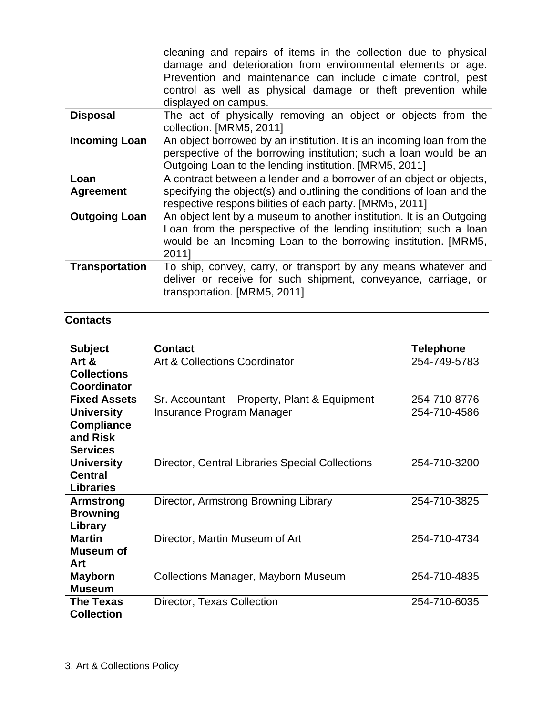|                          | cleaning and repairs of items in the collection due to physical<br>damage and deterioration from environmental elements or age.<br>Prevention and maintenance can include climate control, pest<br>control as well as physical damage or theft prevention while<br>displayed on campus. |  |
|--------------------------|-----------------------------------------------------------------------------------------------------------------------------------------------------------------------------------------------------------------------------------------------------------------------------------------|--|
| <b>Disposal</b>          | The act of physically removing an object or objects from the<br>collection. [MRM5, 2011]                                                                                                                                                                                                |  |
| <b>Incoming Loan</b>     | An object borrowed by an institution. It is an incoming loan from the<br>perspective of the borrowing institution; such a loan would be an<br>Outgoing Loan to the lending institution. [MRM5, 2011]                                                                                    |  |
| Loan<br><b>Agreement</b> | A contract between a lender and a borrower of an object or objects,<br>specifying the object(s) and outlining the conditions of loan and the<br>respective responsibilities of each party. [MRM5, 2011]                                                                                 |  |
| <b>Outgoing Loan</b>     | An object lent by a museum to another institution. It is an Outgoing<br>Loan from the perspective of the lending institution; such a loan<br>would be an Incoming Loan to the borrowing institution. [MRM5,<br>2011]                                                                    |  |
| <b>Transportation</b>    | To ship, convey, carry, or transport by any means whatever and<br>deliver or receive for such shipment, conveyance, carriage, or<br>transportation. [MRM5, 2011]                                                                                                                        |  |

## **Contacts**

| <b>Subject</b>      | <b>Contact</b>                                         | <b>Telephone</b> |
|---------------------|--------------------------------------------------------|------------------|
| Art &               | Art & Collections Coordinator                          | 254-749-5783     |
| <b>Collections</b>  |                                                        |                  |
| <b>Coordinator</b>  |                                                        |                  |
| <b>Fixed Assets</b> | Sr. Accountant – Property, Plant & Equipment           | 254-710-8776     |
| <b>University</b>   | Insurance Program Manager                              | 254-710-4586     |
| <b>Compliance</b>   |                                                        |                  |
| and Risk            |                                                        |                  |
| <b>Services</b>     |                                                        |                  |
| <b>University</b>   | <b>Director, Central Libraries Special Collections</b> | 254-710-3200     |
| <b>Central</b>      |                                                        |                  |
| <b>Libraries</b>    |                                                        |                  |
| Armstrong           | Director, Armstrong Browning Library                   | 254-710-3825     |
| <b>Browning</b>     |                                                        |                  |
| Library             |                                                        |                  |
| <b>Martin</b>       | Director, Martin Museum of Art                         | 254-710-4734     |
| Museum of           |                                                        |                  |
| <b>Art</b>          |                                                        |                  |
| <b>Mayborn</b>      | <b>Collections Manager, Mayborn Museum</b>             | 254-710-4835     |
| <b>Museum</b>       |                                                        |                  |
| <b>The Texas</b>    | Director, Texas Collection                             | 254-710-6035     |
| <b>Collection</b>   |                                                        |                  |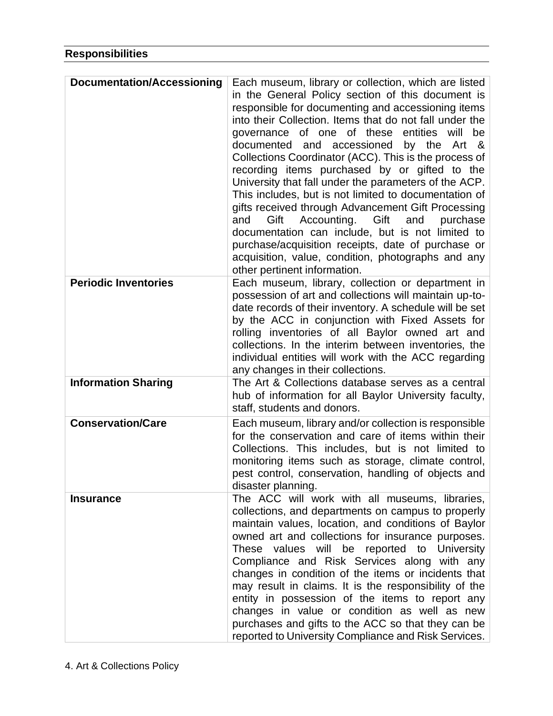| <b>Documentation/Accessioning</b> | Each museum, library or collection, which are listed<br>in the General Policy section of this document is<br>responsible for documenting and accessioning items<br>into their Collection. Items that do not fall under the<br>governance of one of these entities will<br>be<br>by the<br>documented and accessioned<br>Art &<br>Collections Coordinator (ACC). This is the process of<br>recording items purchased by or gifted to the<br>University that fall under the parameters of the ACP.<br>This includes, but is not limited to documentation of<br>gifts received through Advancement Gift Processing<br>Accounting. Gift<br>and<br>Gift<br>and<br>purchase<br>documentation can include, but is not limited to<br>purchase/acquisition receipts, date of purchase or<br>acquisition, value, condition, photographs and any<br>other pertinent information. |
|-----------------------------------|-----------------------------------------------------------------------------------------------------------------------------------------------------------------------------------------------------------------------------------------------------------------------------------------------------------------------------------------------------------------------------------------------------------------------------------------------------------------------------------------------------------------------------------------------------------------------------------------------------------------------------------------------------------------------------------------------------------------------------------------------------------------------------------------------------------------------------------------------------------------------|
| <b>Periodic Inventories</b>       | Each museum, library, collection or department in<br>possession of art and collections will maintain up-to-<br>date records of their inventory. A schedule will be set<br>by the ACC in conjunction with Fixed Assets for<br>rolling inventories of all Baylor owned art and<br>collections. In the interim between inventories, the<br>individual entities will work with the ACC regarding<br>any changes in their collections.                                                                                                                                                                                                                                                                                                                                                                                                                                     |
| <b>Information Sharing</b>        | The Art & Collections database serves as a central<br>hub of information for all Baylor University faculty,<br>staff, students and donors.                                                                                                                                                                                                                                                                                                                                                                                                                                                                                                                                                                                                                                                                                                                            |
| <b>Conservation/Care</b>          | Each museum, library and/or collection is responsible<br>for the conservation and care of items within their<br>Collections. This includes, but is not limited to<br>monitoring items such as storage, climate control,<br>pest control, conservation, handling of objects and<br>disaster planning.                                                                                                                                                                                                                                                                                                                                                                                                                                                                                                                                                                  |
| <b>Insurance</b>                  | The ACC will work with all museums, libraries,<br>collections, and departments on campus to properly<br>maintain values, location, and conditions of Baylor<br>owned art and collections for insurance purposes.<br>These values will be reported to University<br>Compliance and Risk Services along with any<br>changes in condition of the items or incidents that<br>may result in claims. It is the responsibility of the<br>entity in possession of the items to report any<br>changes in value or condition as well as new<br>purchases and gifts to the ACC so that they can be<br>reported to University Compliance and Risk Services.                                                                                                                                                                                                                       |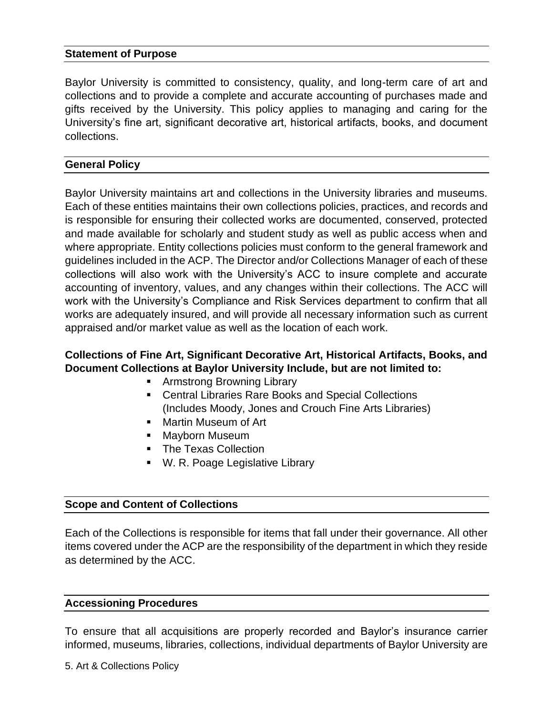### **Statement of Purpose**

Baylor University is committed to consistency, quality, and long-term care of art and collections and to provide a complete and accurate accounting of purchases made and gifts received by the University. This policy applies to managing and caring for the University's fine art, significant decorative art, historical artifacts, books, and document collections.

### **General Policy**

Baylor University maintains art and collections in the University libraries and museums. Each of these entities maintains their own collections policies, practices, and records and is responsible for ensuring their collected works are documented, conserved, protected and made available for scholarly and student study as well as public access when and where appropriate. Entity collections policies must conform to the general framework and guidelines included in the ACP. The Director and/or Collections Manager of each of these collections will also work with the University's ACC to insure complete and accurate accounting of inventory, values, and any changes within their collections. The ACC will work with the University's Compliance and Risk Services department to confirm that all works are adequately insured, and will provide all necessary information such as current appraised and/or market value as well as the location of each work.

## **Collections of Fine Art, Significant Decorative Art, Historical Artifacts, Books, and Document Collections at Baylor University Include, but are not limited to:**

- Armstrong Browning Library
- Central Libraries Rare Books and Special Collections (Includes Moody, Jones and Crouch Fine Arts Libraries)
- Martin Museum of Art
- Mayborn Museum
- The Texas Collection
- W. R. Poage Legislative Library

### **Scope and Content of Collections**

Each of the Collections is responsible for items that fall under their governance. All other items covered under the ACP are the responsibility of the department in which they reside as determined by the ACC.

### **Accessioning Procedures**

To ensure that all acquisitions are properly recorded and Baylor's insurance carrier informed, museums, libraries, collections, individual departments of Baylor University are

5. Art & Collections Policy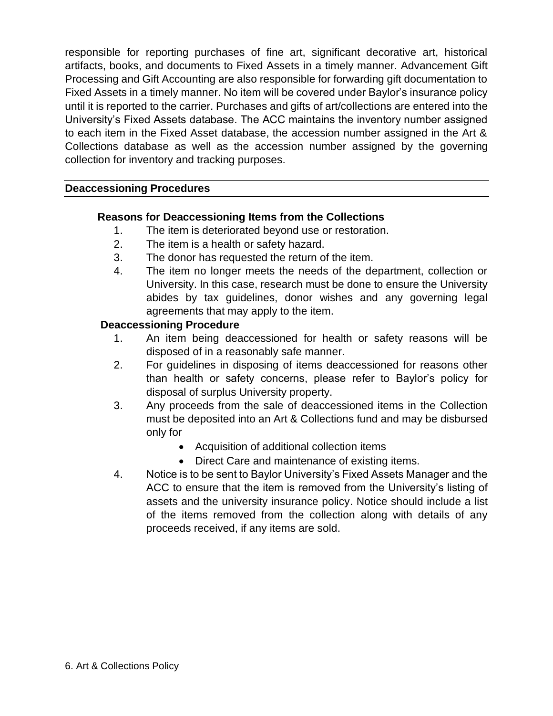responsible for reporting purchases of fine art, significant decorative art, historical artifacts, books, and documents to Fixed Assets in a timely manner. Advancement Gift Processing and Gift Accounting are also responsible for forwarding gift documentation to Fixed Assets in a timely manner. No item will be covered under Baylor's insurance policy until it is reported to the carrier. Purchases and gifts of art/collections are entered into the University's Fixed Assets database. The ACC maintains the inventory number assigned to each item in the Fixed Asset database, the accession number assigned in the Art & Collections database as well as the accession number assigned by the governing collection for inventory and tracking purposes.

### **Deaccessioning Procedures**

## **Reasons for Deaccessioning Items from the Collections**

- 1. The item is deteriorated beyond use or restoration.
- 2. The item is a health or safety hazard.
- 3. The donor has requested the return of the item.
- 4. The item no longer meets the needs of the department, collection or University. In this case, research must be done to ensure the University abides by tax guidelines, donor wishes and any governing legal agreements that may apply to the item.

### **Deaccessioning Procedure**

- 1. An item being deaccessioned for health or safety reasons will be disposed of in a reasonably safe manner.
- 2. For guidelines in disposing of items deaccessioned for reasons other than health or safety concerns, please refer to Baylor's policy for disposal of surplus University property.
- 3. Any proceeds from the sale of deaccessioned items in the Collection must be deposited into an Art & Collections fund and may be disbursed only for
	- Acquisition of additional collection items
	- Direct Care and maintenance of existing items.
- 4. Notice is to be sent to Baylor University's Fixed Assets Manager and the ACC to ensure that the item is removed from the University's listing of assets and the university insurance policy. Notice should include a list of the items removed from the collection along with details of any proceeds received, if any items are sold.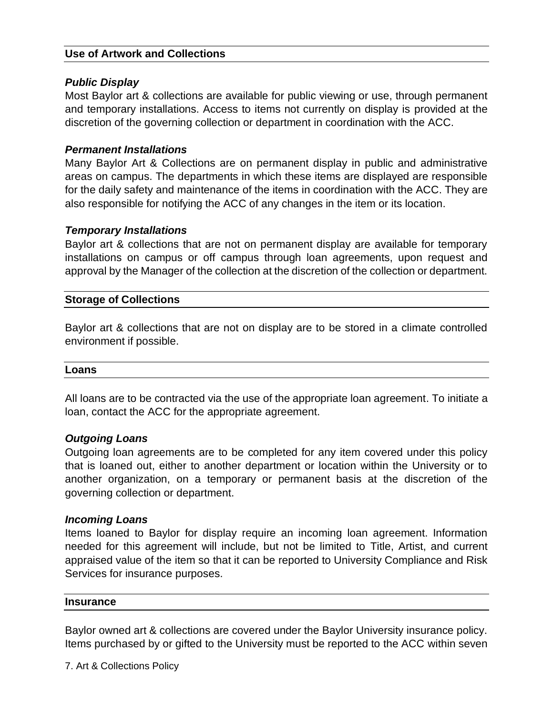### **Use of Artwork and Collections**

#### *Public Display*

Most Baylor art & collections are available for public viewing or use, through permanent and temporary installations. Access to items not currently on display is provided at the discretion of the governing collection or department in coordination with the ACC.

### *Permanent Installations*

Many Baylor Art & Collections are on permanent display in public and administrative areas on campus. The departments in which these items are displayed are responsible for the daily safety and maintenance of the items in coordination with the ACC. They are also responsible for notifying the ACC of any changes in the item or its location.

### *Temporary Installations*

Baylor art & collections that are not on permanent display are available for temporary installations on campus or off campus through loan agreements, upon request and approval by the Manager of the collection at the discretion of the collection or department.

#### **Storage of Collections**

Baylor art & collections that are not on display are to be stored in a climate controlled environment if possible.

#### **Loans**

All loans are to be contracted via the use of the appropriate loan agreement. To initiate a loan, contact the ACC for the appropriate agreement.

#### *Outgoing Loans*

Outgoing loan agreements are to be completed for any item covered under this policy that is loaned out, either to another department or location within the University or to another organization, on a temporary or permanent basis at the discretion of the governing collection or department.

#### *Incoming Loans*

Items loaned to Baylor for display require an incoming loan agreement. Information needed for this agreement will include, but not be limited to Title, Artist, and current appraised value of the item so that it can be reported to University Compliance and Risk Services for insurance purposes.

#### **Insurance**

Baylor owned art & collections are covered under the Baylor University insurance policy. Items purchased by or gifted to the University must be reported to the ACC within seven

7. Art & Collections Policy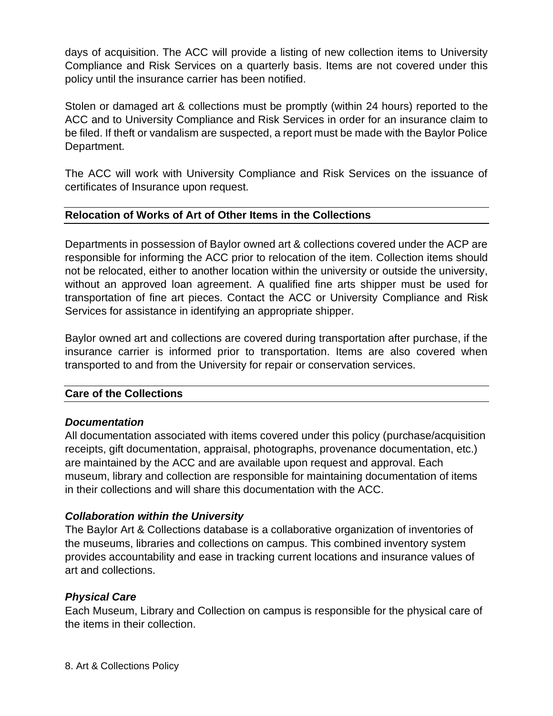days of acquisition. The ACC will provide a listing of new collection items to University Compliance and Risk Services on a quarterly basis. Items are not covered under this policy until the insurance carrier has been notified.

Stolen or damaged art & collections must be promptly (within 24 hours) reported to the ACC and to University Compliance and Risk Services in order for an insurance claim to be filed. If theft or vandalism are suspected, a report must be made with the Baylor Police Department.

The ACC will work with University Compliance and Risk Services on the issuance of certificates of Insurance upon request.

## **Relocation of Works of Art of Other Items in the Collections**

Departments in possession of Baylor owned art & collections covered under the ACP are responsible for informing the ACC prior to relocation of the item. Collection items should not be relocated, either to another location within the university or outside the university, without an approved loan agreement. A qualified fine arts shipper must be used for transportation of fine art pieces. Contact the ACC or University Compliance and Risk Services for assistance in identifying an appropriate shipper.

Baylor owned art and collections are covered during transportation after purchase, if the insurance carrier is informed prior to transportation. Items are also covered when transported to and from the University for repair or conservation services.

## **Care of the Collections**

## *Documentation*

All documentation associated with items covered under this policy (purchase/acquisition receipts, gift documentation, appraisal, photographs, provenance documentation, etc.) are maintained by the ACC and are available upon request and approval. Each museum, library and collection are responsible for maintaining documentation of items in their collections and will share this documentation with the ACC.

## *Collaboration within the University*

The Baylor Art & Collections database is a collaborative organization of inventories of the museums, libraries and collections on campus. This combined inventory system provides accountability and ease in tracking current locations and insurance values of art and collections.

## *Physical Care*

Each Museum, Library and Collection on campus is responsible for the physical care of the items in their collection.